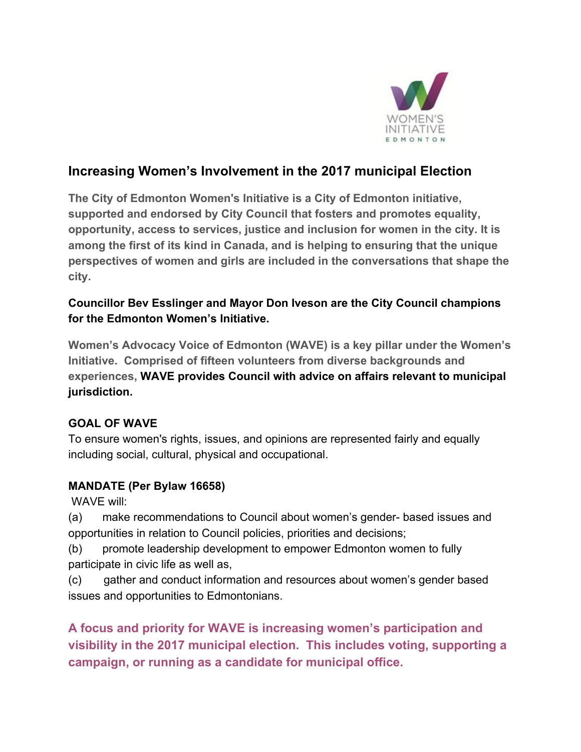

## **Increasing Women's Involvement in the 2017 municipal Election**

**The City of Edmonton Women's Initiative is a City of Edmonton initiative, supported and endorsed by City Council that fosters and promotes equality, opportunity, access to services, justice and inclusion for women in the city. It is among the first of its kind in Canada, and is helping to ensuring that the unique perspectives of women and girls are included in the conversations that shape the city.** 

## **Councillor Bev Esslinger and Mayor Don Iveson are the City Council champions for the Edmonton Women's Initiative.**

**Women's Advocacy Voice of Edmonton (WAVE) is a key pillar under the Women's Initiative. Comprised of fifteen volunteers from diverse backgrounds and experiences, WAVE provides Council with advice on affairs relevant to municipal jurisdiction.** 

## **GOAL OF WAVE**

To ensure women's rights, issues, and opinions are represented fairly and equally including social, cultural, physical and occupational.

## **MANDATE (Per Bylaw 16658)**

WAVE will:

(a) make recommendations to Council about women's gender- based issues and opportunities in relation to Council policies, priorities and decisions;

(b) promote leadership development to empower Edmonton women to fully participate in civic life as well as,

(c) gather and conduct information and resources about women's gender based issues and opportunities to Edmontonians.

**A focus and priority for WAVE is increasing women's participation and visibility in the 2017 municipal election. This includes voting, supporting a campaign, or running as a candidate for municipal office.**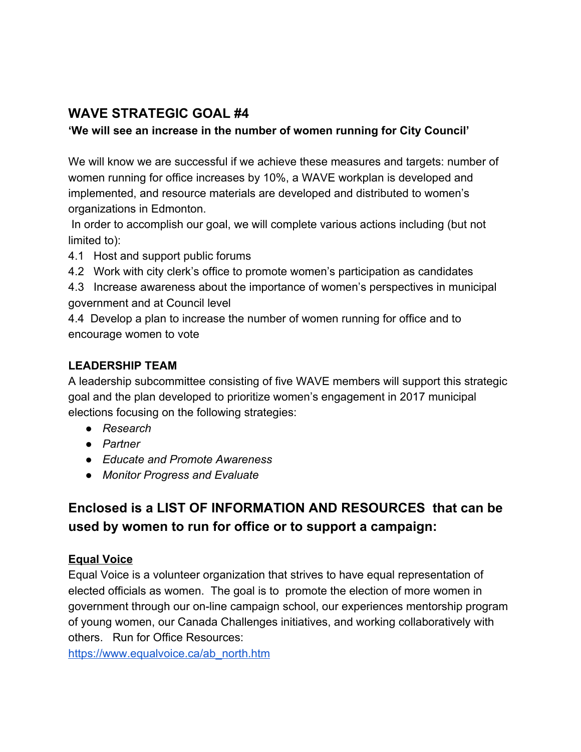## **WAVE STRATEGIC GOAL #4**

## **'We will see an increase in the number of women running for City Council'**

We will know we are successful if we achieve these measures and targets: number of women running for office increases by 10%, a WAVE workplan is developed and implemented, and resource materials are developed and distributed to women's organizations in Edmonton.

In order to accomplish our goal, we will complete various actions including (but not limited to):

4.1 Host and support public forums

4.2 Work with city clerk's office to promote women's participation as candidates

4.3 Increase awareness about the importance of women's perspectives in municipal government and at Council level

4.4 Develop a plan to increase the number of women running for office and to encourage women to vote

## **LEADERSHIP TEAM**

A leadership subcommittee consisting of five WAVE members will support this strategic goal and the plan developed to prioritize women's engagement in 2017 municipal elections focusing on the following strategies:

- *Research*
- *Partner*
- *Educate and Promote Awareness*
- *Monitor Progress and Evaluate*

# **Enclosed is a LIST OF INFORMATION AND RESOURCES that can be used by women to run for office or to support a campaign:**

## **Equal Voice**

Equal Voice is a volunteer organization that strives to have equal representation of elected officials as women. The goal is to promote the election of more women in government through our on-line campaign school, our experiences mentorship program of young women, our Canada Challenges initiatives, and working collaboratively with others. Run for Office Resources:

[https://www.equalvoice.ca/ab\\_north.htm](https://www.equalvoice.ca/ab_north.htm)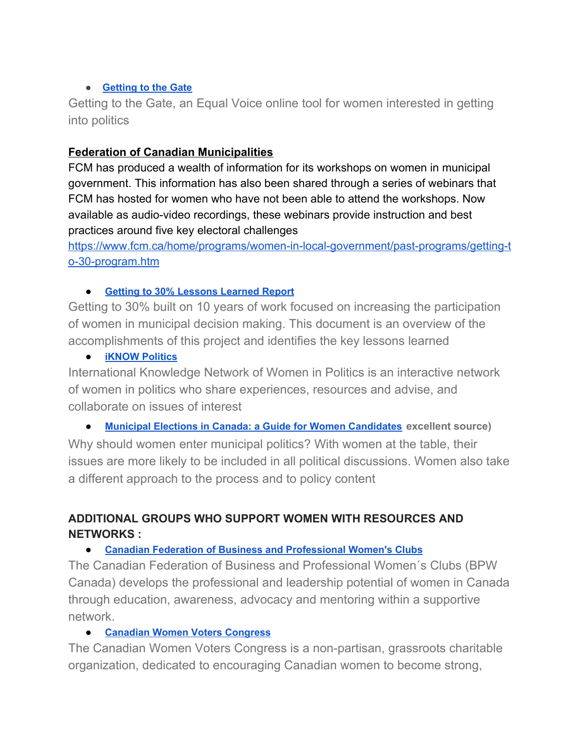#### **● [Getting to the Gate](http://www.gettingtothegate.com/)**

Getting to the Gate, an Equal Voice online tool for women interested in getting into politics

#### **Federation of Canadian Municipalities**

FCM has produced a wealth of information for its workshops on women in municipal government. This information has also been shared through a series of webinars that FCM has hosted for women who have not been able to attend the workshops. Now available as audio-video recordings, these webinars provide instruction and best practices around five key electoral challenges

[https://www.fcm.ca/home/programs/women-in-local-government/past-programs/getting-t](https://www.fcm.ca/home/programs/women-in-local-government/past-programs/getting-to-30-program.htm) [o-30-program.htm](https://www.fcm.ca/home/programs/women-in-local-government/past-programs/getting-to-30-program.htm)

#### ● **[Getting to 30% Lessons Learned Report](http://www.fcm.ca/Documents/reports/Women/FCM_Getting_to_30_percent_Lessons_Learned_EN.pdf)**

Getting to 30% built on 10 years of work focused on increasing the participation of women in municipal decision making. This document is an overview of the accomplishments of this project and identifies the key lessons learned

#### ● **[iKNOW Politics](http://iknowpolitics.org/en)**

International Knowledge Network of Women in Politics is an interactive network of women in politics who share experiences, resources and advise, and collaborate on issues of interest

● **[Municipal Elections in Canada: a Guide for Women Candidates](http://www.fcm.ca/Documents/tools/Women/Municipal_Elections_in_Canada_a_Guide_for_Women_Candidates_EN.pdf) excellent source)**  Why should women enter municipal politics? With women at the table, their issues are more likely to be included in all political discussions. Women also take a different approach to the process and to policy content

## **ADDITIONAL GROUPS WHO SUPPORT WOMEN WITH RESOURCES AND NETWORKS :**

#### ● **[Canadian Federation of Business and Professional Women's Clubs](http://bpwcanada.com/)**

The Canadian Federation of Business and Professional Women´s Clubs (BPW Canada) develops the professional and leadership potential of women in Canada through education, awareness, advocacy and mentoring within a supportive network.

#### ● **[Canadian Women Voters Congress](http://womenvoters.ca/)**

The Canadian Women Voters Congress is a non-partisan, grassroots charitable organization, dedicated to encouraging Canadian women to become strong,